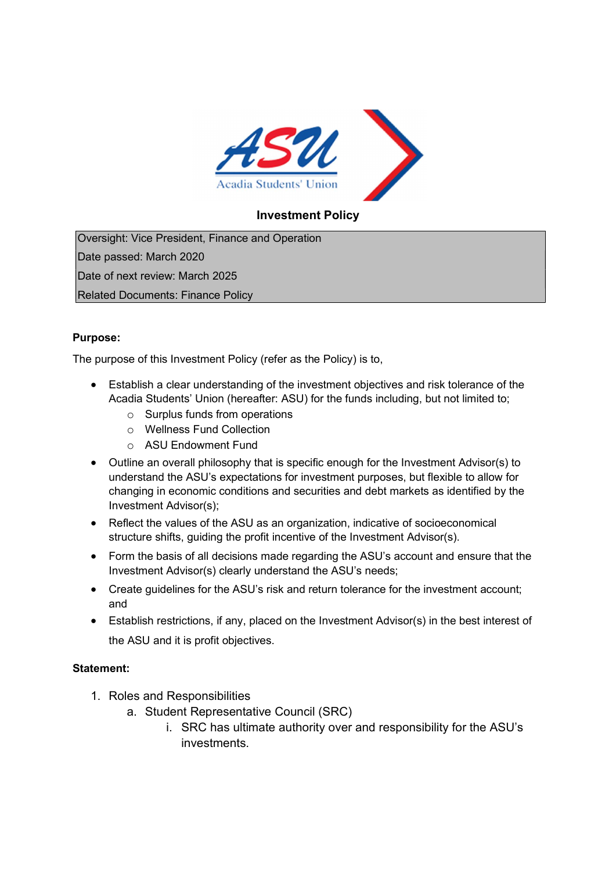

## Investment Policy

Oversight: Vice President, Finance and Operation Date passed: March 2020 Date of next review: March 2025 Related Documents: Finance Policy

## Purpose:

The purpose of this Investment Policy (refer as the Policy) is to,

- Establish a clear understanding of the investment objectives and risk tolerance of the Acadia Students' Union (hereafter: ASU) for the funds including, but not limited to;
	- o Surplus funds from operations
	- o Wellness Fund Collection
	- o ASU Endowment Fund
- Outline an overall philosophy that is specific enough for the Investment Advisor(s) to understand the ASU's expectations for investment purposes, but flexible to allow for changing in economic conditions and securities and debt markets as identified by the Investment Advisor(s);
- Reflect the values of the ASU as an organization, indicative of socioeconomical structure shifts, guiding the profit incentive of the Investment Advisor(s).
- Form the basis of all decisions made regarding the ASU's account and ensure that the Investment Advisor(s) clearly understand the ASU's needs;
- Create guidelines for the ASU's risk and return tolerance for the investment account; and
- Establish restrictions, if any, placed on the Investment Advisor(s) in the best interest of the ASU and it is profit objectives.

## Statement:

- 1. Roles and Responsibilities
	- a. Student Representative Council (SRC)
		- i. SRC has ultimate authority over and responsibility for the ASU's investments.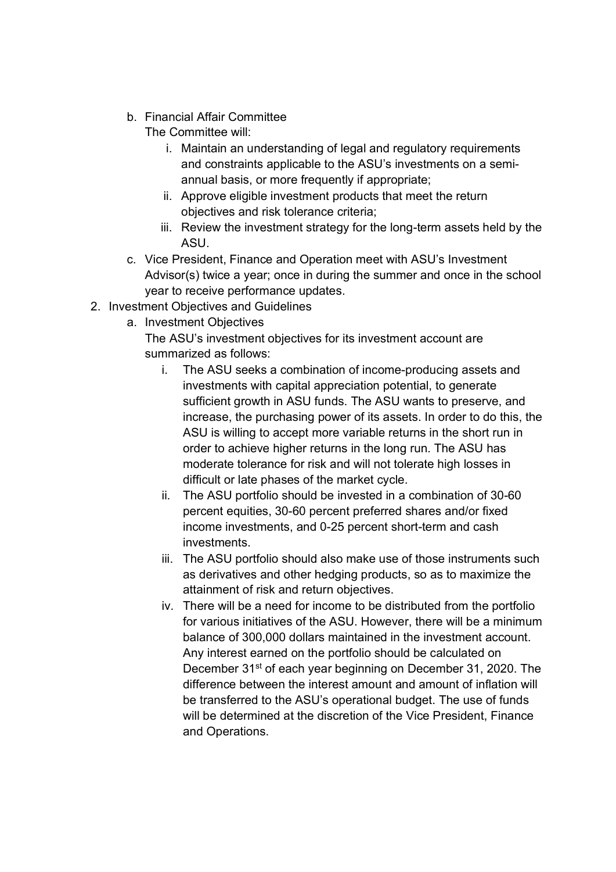b. Financial Affair Committee

The Committee will:

- i. Maintain an understanding of legal and regulatory requirements and constraints applicable to the ASU's investments on a semiannual basis, or more frequently if appropriate;
- ii. Approve eligible investment products that meet the return objectives and risk tolerance criteria;
- iii. Review the investment strategy for the long-term assets held by the ASU.
- c. Vice President, Finance and Operation meet with ASU's Investment Advisor(s) twice a year; once in during the summer and once in the school year to receive performance updates.
- 2. Investment Objectives and Guidelines
	- a. Investment Objectives

The ASU's investment objectives for its investment account are summarized as follows:

- i. The ASU seeks a combination of income-producing assets and investments with capital appreciation potential, to generate sufficient growth in ASU funds. The ASU wants to preserve, and increase, the purchasing power of its assets. In order to do this, the ASU is willing to accept more variable returns in the short run in order to achieve higher returns in the long run. The ASU has moderate tolerance for risk and will not tolerate high losses in difficult or late phases of the market cycle.
- ii. The ASU portfolio should be invested in a combination of 30-60 percent equities, 30-60 percent preferred shares and/or fixed income investments, and 0-25 percent short-term and cash investments.
- iii. The ASU portfolio should also make use of those instruments such as derivatives and other hedging products, so as to maximize the attainment of risk and return objectives.
- iv. There will be a need for income to be distributed from the portfolio for various initiatives of the ASU. However, there will be a minimum balance of 300,000 dollars maintained in the investment account. Any interest earned on the portfolio should be calculated on December 31<sup>st</sup> of each year beginning on December 31, 2020. The difference between the interest amount and amount of inflation will be transferred to the ASU's operational budget. The use of funds will be determined at the discretion of the Vice President, Finance and Operations.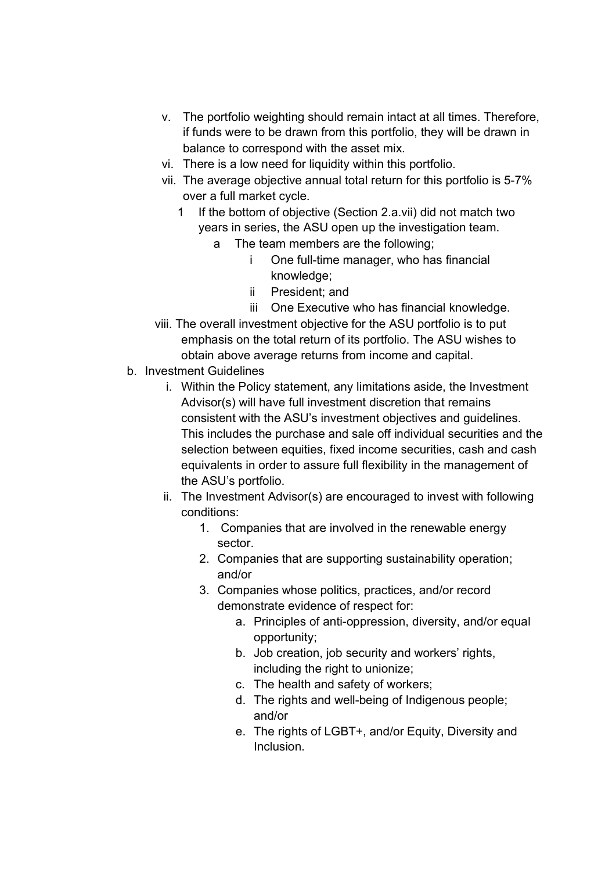- v. The portfolio weighting should remain intact at all times. Therefore, if funds were to be drawn from this portfolio, they will be drawn in balance to correspond with the asset mix.
- vi. There is a low need for liquidity within this portfolio.
- vii. The average objective annual total return for this portfolio is 5-7% over a full market cycle.
	- 1 If the bottom of objective (Section 2.a.vii) did not match two years in series, the ASU open up the investigation team.
		- a The team members are the following;
			- i One full-time manager, who has financial knowledge;
			- ii President; and
			- iii One Executive who has financial knowledge.
- viii. The overall investment objective for the ASU portfolio is to put emphasis on the total return of its portfolio. The ASU wishes to obtain above average returns from income and capital.
- b. Investment Guidelines
	- i. Within the Policy statement, any limitations aside, the Investment Advisor(s) will have full investment discretion that remains consistent with the ASU's investment objectives and guidelines. This includes the purchase and sale off individual securities and the selection between equities, fixed income securities, cash and cash equivalents in order to assure full flexibility in the management of the ASU's portfolio.
	- ii. The Investment Advisor(s) are encouraged to invest with following conditions:
		- 1. Companies that are involved in the renewable energy sector.
		- 2. Companies that are supporting sustainability operation; and/or
		- 3. Companies whose politics, practices, and/or record demonstrate evidence of respect for:
			- a. Principles of anti-oppression, diversity, and/or equal opportunity;
			- b. Job creation, job security and workers' rights, including the right to unionize;
			- c. The health and safety of workers;
			- d. The rights and well-being of Indigenous people; and/or
			- e. The rights of LGBT+, and/or Equity, Diversity and Inclusion.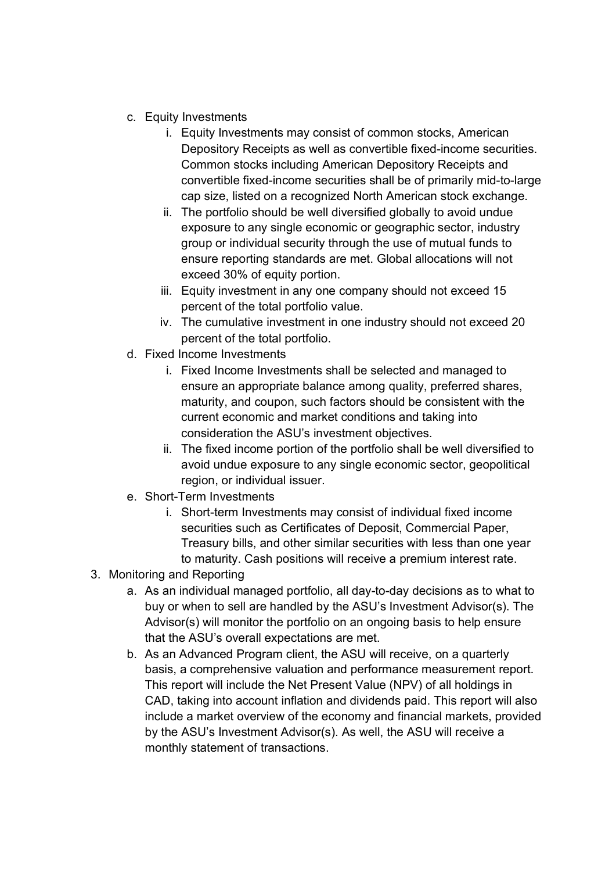- c. Equity Investments
	- i. Equity Investments may consist of common stocks, American Depository Receipts as well as convertible fixed-income securities. Common stocks including American Depository Receipts and convertible fixed-income securities shall be of primarily mid-to-large cap size, listed on a recognized North American stock exchange.
	- ii. The portfolio should be well diversified globally to avoid undue exposure to any single economic or geographic sector, industry group or individual security through the use of mutual funds to ensure reporting standards are met. Global allocations will not exceed 30% of equity portion.
	- iii. Equity investment in any one company should not exceed 15 percent of the total portfolio value.
	- iv. The cumulative investment in one industry should not exceed 20 percent of the total portfolio.
- d. Fixed Income Investments
	- i. Fixed Income Investments shall be selected and managed to ensure an appropriate balance among quality, preferred shares, maturity, and coupon, such factors should be consistent with the current economic and market conditions and taking into consideration the ASU's investment objectives.
	- ii. The fixed income portion of the portfolio shall be well diversified to avoid undue exposure to any single economic sector, geopolitical region, or individual issuer.
- e. Short-Term Investments
	- i. Short-term Investments may consist of individual fixed income securities such as Certificates of Deposit, Commercial Paper, Treasury bills, and other similar securities with less than one year to maturity. Cash positions will receive a premium interest rate.
- 3. Monitoring and Reporting
	- a. As an individual managed portfolio, all day-to-day decisions as to what to buy or when to sell are handled by the ASU's Investment Advisor(s). The Advisor(s) will monitor the portfolio on an ongoing basis to help ensure that the ASU's overall expectations are met.
	- b. As an Advanced Program client, the ASU will receive, on a quarterly basis, a comprehensive valuation and performance measurement report. This report will include the Net Present Value (NPV) of all holdings in CAD, taking into account inflation and dividends paid. This report will also include a market overview of the economy and financial markets, provided by the ASU's Investment Advisor(s). As well, the ASU will receive a monthly statement of transactions.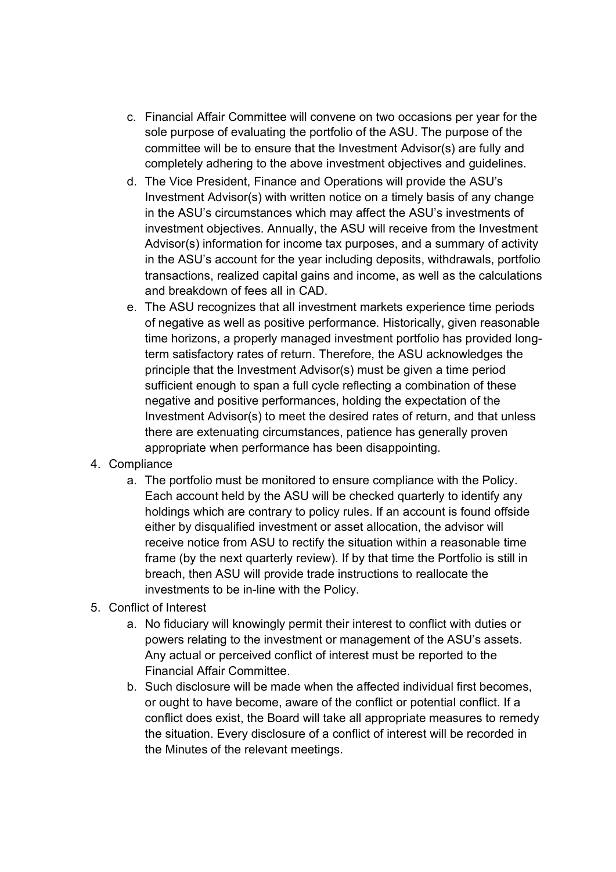- c. Financial Affair Committee will convene on two occasions per year for the sole purpose of evaluating the portfolio of the ASU. The purpose of the committee will be to ensure that the Investment Advisor(s) are fully and completely adhering to the above investment objectives and guidelines.
- d. The Vice President, Finance and Operations will provide the ASU's Investment Advisor(s) with written notice on a timely basis of any change in the ASU's circumstances which may affect the ASU's investments of investment objectives. Annually, the ASU will receive from the Investment Advisor(s) information for income tax purposes, and a summary of activity in the ASU's account for the year including deposits, withdrawals, portfolio transactions, realized capital gains and income, as well as the calculations and breakdown of fees all in CAD.
- e. The ASU recognizes that all investment markets experience time periods of negative as well as positive performance. Historically, given reasonable time horizons, a properly managed investment portfolio has provided longterm satisfactory rates of return. Therefore, the ASU acknowledges the principle that the Investment Advisor(s) must be given a time period sufficient enough to span a full cycle reflecting a combination of these negative and positive performances, holding the expectation of the Investment Advisor(s) to meet the desired rates of return, and that unless there are extenuating circumstances, patience has generally proven appropriate when performance has been disappointing.
- 4. Compliance
	- a. The portfolio must be monitored to ensure compliance with the Policy. Each account held by the ASU will be checked quarterly to identify any holdings which are contrary to policy rules. If an account is found offside either by disqualified investment or asset allocation, the advisor will receive notice from ASU to rectify the situation within a reasonable time frame (by the next quarterly review). If by that time the Portfolio is still in breach, then ASU will provide trade instructions to reallocate the investments to be in-line with the Policy.
- 5. Conflict of Interest
	- a. No fiduciary will knowingly permit their interest to conflict with duties or powers relating to the investment or management of the ASU's assets. Any actual or perceived conflict of interest must be reported to the Financial Affair Committee.
	- b. Such disclosure will be made when the affected individual first becomes, or ought to have become, aware of the conflict or potential conflict. If a conflict does exist, the Board will take all appropriate measures to remedy the situation. Every disclosure of a conflict of interest will be recorded in the Minutes of the relevant meetings.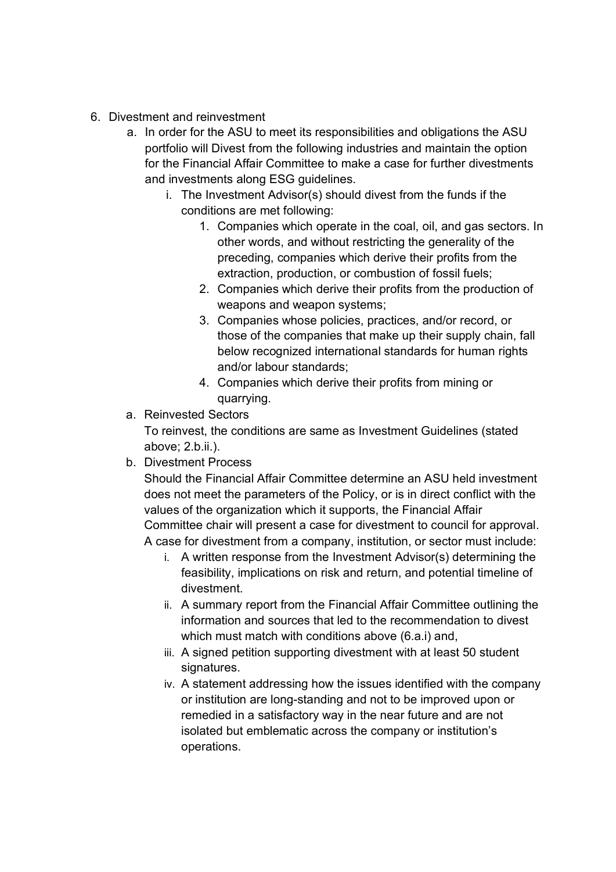- 6. Divestment and reinvestment
	- a. In order for the ASU to meet its responsibilities and obligations the ASU portfolio will Divest from the following industries and maintain the option for the Financial Affair Committee to make a case for further divestments and investments along ESG guidelines.
		- i. The Investment Advisor(s) should divest from the funds if the conditions are met following:
			- 1. Companies which operate in the coal, oil, and gas sectors. In other words, and without restricting the generality of the preceding, companies which derive their profits from the extraction, production, or combustion of fossil fuels;
			- 2. Companies which derive their profits from the production of weapons and weapon systems;
			- 3. Companies whose policies, practices, and/or record, or those of the companies that make up their supply chain, fall below recognized international standards for human rights and/or labour standards;
			- 4. Companies which derive their profits from mining or quarrying.
	- a. Reinvested Sectors

To reinvest, the conditions are same as Investment Guidelines (stated above; 2.b.ii.).

b. Divestment Process

Should the Financial Affair Committee determine an ASU held investment does not meet the parameters of the Policy, or is in direct conflict with the values of the organization which it supports, the Financial Affair Committee chair will present a case for divestment to council for approval. A case for divestment from a company, institution, or sector must include:

- i. A written response from the Investment Advisor(s) determining the feasibility, implications on risk and return, and potential timeline of divestment.
- ii. A summary report from the Financial Affair Committee outlining the information and sources that led to the recommendation to divest which must match with conditions above (6.a.i) and,
- iii. A signed petition supporting divestment with at least 50 student signatures.
- iv. A statement addressing how the issues identified with the company or institution are long-standing and not to be improved upon or remedied in a satisfactory way in the near future and are not isolated but emblematic across the company or institution's operations.